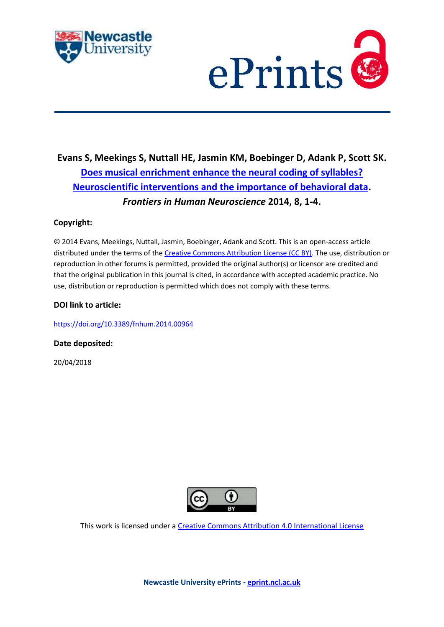



# **Evans S, Meekings S, Nuttall HE, Jasmin KM, Boebinger D, Adank P, Scott SK. [Does musical enrichment enhance the neural coding of syllables?](https://myimpact.ncl.ac.uk/ViewPublication.aspx?id=241407)  [Neuroscientific interventions and the importance of behavioral data.](https://myimpact.ncl.ac.uk/ViewPublication.aspx?id=241407)**  *Frontiers in Human Neuroscience* **2014, 8, 1-4.**

## **Copyright:**

© 2014 Evans, Meekings, Nuttall, Jasmin, Boebinger, Adank and Scott. This is an open-access article distributed under the terms of th[e Creative Commons Attribution License \(CC BY\).](http://creativecommons.org/licenses/by/4.0/) The use, distribution or reproduction in other forums is permitted, provided the original author(s) or licensor are credited and that the original publication in this journal is cited, in accordance with accepted academic practice. No use, distribution or reproduction is permitted which does not comply with these terms.

## **DOI link to article:**

<https://doi.org/10.3389/fnhum.2014.00964>

**Date deposited:** 

20/04/2018



This work is licensed under [a Creative Commons Attribution 4.0 International License](http://creativecommons.org/licenses/by/4.0/)

**Newcastle University ePrints - [eprint.ncl.ac.uk](http://eprint.ncl.ac.uk/)**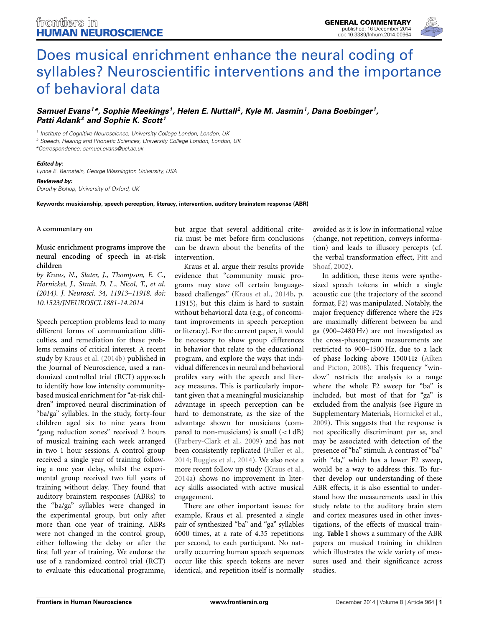

# Does musical enrichment enhance the neural coding of [syllables? Neuroscientific interventions and the importance](http://www.frontiersin.org/journal/10.3389/fnhum.2014.00964/full) of behavioral data

*[Samuel Evans](http://community.frontiersin.org/people/u/141818) <sup>1</sup> \*, [Sophie Meekings](http://community.frontiersin.org/people/u/192828) 1, [Helen E. Nuttall](http://community.frontiersin.org/people/u/195797) 2, [Kyle M. Jasmin1](http://community.frontiersin.org/people/u/194929), Dana Boebinger 1, [Patti Adank2](http://community.frontiersin.org/people/u/55404) and [Sophie K. Scott](http://community.frontiersin.org/people/u/491) <sup>1</sup>*

*<sup>1</sup> Institute of Cognitive Neuroscience, University College London, London, UK*

*<sup>2</sup> Speech, Hearing and Phonetic Sciences, University College London, London, UK*

*\*Correspondence: [samuel.evans@ucl.ac.uk](mailto:samuel.evans@ucl.ac.uk)*

#### *Edited by:*

*Lynne E. Bernstein, George Washington University, USA*

*Reviewed by: Dorothy Bishop, University of Oxford, UK*

**Keywords: musicianship, speech perception, literacy, intervention, auditory brainstem response (ABR)**

### **A commentary on**

## **Music enrichment programs improve the neural encoding of speech in at-risk children**

*by Kraus, N., Slater, J., Thompson, E. C., Hornickel, J., Strait, D. L., Nicol, T., et al. (2014). J. Neurosci. 34, 11913–11918. doi: 10.1523/JNEUROSCI.1881-14.2014*

Speech perception problems lead to many different forms of communication difficulties, and remediation for these problems remains of critical interest. A recent study by [Kraus et al.](#page-4-0) [\(2014b](#page-4-0)) published in the Journal of Neuroscience, used a randomized controlled trial (RCT) approach to identify how low intensity communitybased musical enrichment for "at-risk children" improved neural discrimination of "ba/ga" syllables. In the study, forty-four children aged six to nine years from "gang reduction zones" received 2 hours of musical training each week arranged in two 1 hour sessions. A control group received a single year of training following a one year delay, whilst the experimental group received two full years of training without delay. They found that auditory brainstem responses (ABRs) to the "ba/ga" syllables were changed in the experimental group, but only after more than one year of training. ABRs were not changed in the control group, either following the delay or after the first full year of training. We endorse the use of a randomized control trial (RCT) to evaluate this educational programme,

but argue that several additional criteria must be met before firm conclusions can be drawn about the benefits of the intervention.

Kraus et al. argue their results provide evidence that "community music programs may stave off certain languagebased challenges" [\(Kraus et al.](#page-4-0), [2014b](#page-4-0), p. 11915), but this claim is hard to sustain without behavioral data (e.g., of concomitant improvements in speech perception or literacy). For the current paper, it would be necessary to show group differences in behavior that relate to the educational program, and explore the ways that individual differences in neural and behavioral profiles vary with the speech and literacy measures. This is particularly important given that a meaningful musicianship advantage in speech perception can be hard to demonstrate, as the size of the advantage shown for musicians (compared to non-musicians) is small (*<*1 dB) [\(Parbery-Clark et al.](#page-4-1), [2009\)](#page-4-1) and has not been consistently replicated [\(Fuller et al.,](#page-4-2) [2014](#page-4-2); [Ruggles et al., 2014\)](#page-4-3). We also note a more recent follow up study [\(Kraus et al.,](#page-4-4) [2014a\)](#page-4-4) shows no improvement in literacy skills associated with active musical engagement.

There are other important issues: for example, Kraus et al. presented a single pair of synthesized "ba" and "ga" syllables 6000 times, at a rate of 4.35 repetitions per second, to each participant. No naturally occurring human speech sequences occur like this: speech tokens are never identical, and repetition itself is normally avoided as it is low in informational value (change, not repetition, conveys information) and leads to illusory percepts (cf. the v[erbal transformation effect,](#page-4-5) Pitt and Shoaf, [2002](#page-4-5)).

In addition, these items were synthesized speech tokens in which a single acoustic cue (the trajectory of the second format, F2) was manipulated. Notably, the major frequency difference where the F2s are maximally different between ba and ga (900–2480 Hz) are not investigated as the cross-phaseogram measurements are restricted to 900–1500 Hz, due to a lack of phase l[ocking above 1500 Hz \(](#page-4-6)Aiken and Picton, [2008](#page-4-6)). This frequency "window" restricts the analysis to a range where the whole F2 sweep for "ba" is included, but most of that for "ga" is excluded from the analysis (see Figure in Supplementary Materials, [Hornickel et al.,](#page-4-7) [2009](#page-4-7)). This suggests that the response is not specifically discriminant *per se*, and may be associated with detection of the presence of "ba" stimuli. A contrast of "ba" with "da," which has a lower F2 sweep, would be a way to address this. To further develop our understanding of these ABR effects, it is also essential to understand how the measurements used in this study relate to the auditory brain stem and cortex measures used in other investigations, of the effects of musical training. **[Table 1](#page-2-0)** shows a summary of the ABR papers on musical training in children which illustrates the wide variety of measures used and their significance across studies.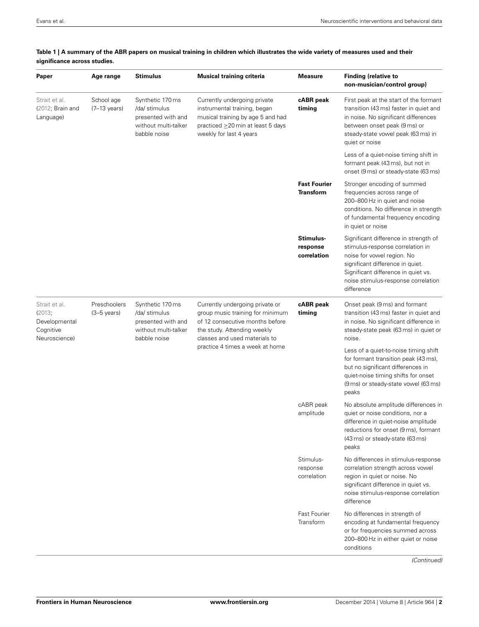| Paper                                                                  | Age range                             | <b>Stimulus</b>                                                                                 | <b>Musical training criteria</b>                                                                                                                                                                          | <b>Measure</b>                          | <b>Finding (relative to</b><br>non-musician/control group)                                                                                                                                                                              |
|------------------------------------------------------------------------|---------------------------------------|-------------------------------------------------------------------------------------------------|-----------------------------------------------------------------------------------------------------------------------------------------------------------------------------------------------------------|-----------------------------------------|-----------------------------------------------------------------------------------------------------------------------------------------------------------------------------------------------------------------------------------------|
| Strait et al.<br>$(2012;$ Brain and<br>Language)                       | School age<br>$(7-13 \text{ years})$  | Synthetic 170 ms<br>/da/ stimulus<br>presented with and<br>without multi-talker<br>babble noise | Currently undergoing private<br>instrumental training, began<br>musical training by age 5 and had<br>practiced ≥20 min at least 5 days<br>weekly for last 4 years                                         | cABR peak<br>timing                     | First peak at the start of the formant<br>transition (43 ms) faster in quiet and<br>in noise. No significant differences<br>between onset peak (9 ms) or<br>steady-state vowel peak (63 ms) in<br>quiet or noise                        |
|                                                                        |                                       |                                                                                                 |                                                                                                                                                                                                           |                                         | Less of a quiet-noise timing shift in<br>formant peak (43 ms), but not in<br>onset (9 ms) or steady-state (63 ms)                                                                                                                       |
|                                                                        |                                       |                                                                                                 |                                                                                                                                                                                                           | <b>Fast Fourier</b><br><b>Transform</b> | Stronger encoding of summed<br>frequencies across range of<br>200-800 Hz in quiet and noise<br>conditions. No difference in strength<br>of fundamental frequency encoding<br>in quiet or noise                                          |
|                                                                        |                                       |                                                                                                 |                                                                                                                                                                                                           | Stimulus-<br>response<br>correlation    | Significant difference in strength of<br>stimulus-response correlation in<br>noise for vowel region. No<br>significant difference in quiet.<br>Significant difference in quiet vs.<br>noise stimulus-response correlation<br>difference |
| Strait et al.<br>(2013;<br>Developmental<br>Cognitive<br>Neuroscience) | Preschoolers<br>$(3-5 \text{ years})$ | Synthetic 170 ms<br>/da/ stimulus<br>presented with and<br>without multi-talker<br>babble noise | Currently undergoing private or<br>group music training for minimum<br>of 12 consecutive months before<br>the study. Attending weekly<br>classes and used materials to<br>practice 4 times a week at home | cABR peak<br>timing                     | Onset peak (9 ms) and formant<br>transition (43 ms) faster in quiet and<br>in noise. No significant difference in<br>steady-state peak (63 ms) in quiet or<br>noise.                                                                    |
|                                                                        |                                       |                                                                                                 |                                                                                                                                                                                                           |                                         | Less of a quiet-to-noise timing shift<br>for formant transition peak (43 ms),<br>but no significant differences in<br>quiet-noise timing shifts for onset<br>(9 ms) or steady-state vowel (63 ms)<br>peaks                              |
|                                                                        |                                       |                                                                                                 |                                                                                                                                                                                                           | cABR peak<br>amplitude                  | No absolute amplitude differences in<br>quiet or noise conditions, nor a<br>difference in quiet-noise amplitude<br>reductions for onset (9 ms), formant<br>(43 ms) or steady-state (63 ms)<br>peaks                                     |
|                                                                        |                                       |                                                                                                 |                                                                                                                                                                                                           | Stimulus-<br>response<br>correlation    | No differences in stimulus-response<br>correlation strength across vowel<br>region in quiet or noise. No<br>significant difference in quiet vs.<br>noise stimulus-response correlation<br>difference                                    |
|                                                                        |                                       |                                                                                                 |                                                                                                                                                                                                           | Fast Fourier<br>Transform               | No differences in strength of<br>encoding at fundamental frequency<br>or for frequencies summed across<br>200-800 Hz in either quiet or noise<br>conditions                                                                             |

## <span id="page-2-0"></span>**Table 1 | A summary of the ABR papers on musical training in children which illustrates the wide variety of measures used and their significance across studies.**

*(Continued)*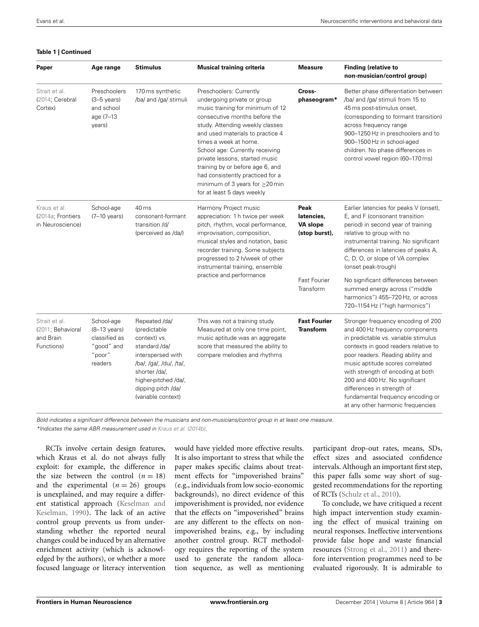### **Table 1 | Continued**

| Paper                                                         | Age range                                                                                | <b>Stimulus</b>                                                                                                                                                                                     | <b>Musical training criteria</b>                                                                                                                                                                                                                                                                                                                                                                                                               | <b>Measure</b>                                                                      | <b>Finding (relative to</b><br>non-musician/control group)                                                                                                                                                                                                                                                                                                                                                                                      |
|---------------------------------------------------------------|------------------------------------------------------------------------------------------|-----------------------------------------------------------------------------------------------------------------------------------------------------------------------------------------------------|------------------------------------------------------------------------------------------------------------------------------------------------------------------------------------------------------------------------------------------------------------------------------------------------------------------------------------------------------------------------------------------------------------------------------------------------|-------------------------------------------------------------------------------------|-------------------------------------------------------------------------------------------------------------------------------------------------------------------------------------------------------------------------------------------------------------------------------------------------------------------------------------------------------------------------------------------------------------------------------------------------|
| Strait et al.<br>(2014; Cerebral<br>Cortex)                   | Preschoolers<br>$(3-5$ years)<br>and school<br>age (7-13)<br>years)                      | 170 ms synthetic<br>/ba/ and /ga/ stimuli                                                                                                                                                           | Preschoolers: Currently<br>undergoing private or group<br>music training for minimum of 12<br>consecutive months before the<br>study. Attending weekly classes<br>and used materials to practice 4<br>times a week at home.<br>School age: Currently receiving<br>private lessons, started music<br>training by or before age 6, and<br>had consistently practiced for a<br>minimum of 3 years for $\geq$ 20 min<br>for at least 5 days weekly | Cross-<br>phaseogram*                                                               | Better phase differentiation between<br>/ba/ and /ga/ stimuli from 15 to<br>45 ms post-stimulus onset,<br>(corresponding to formant transition)<br>across frequency range<br>900-1250 Hz in preschoolers and to<br>900-1500 Hz in school-aged<br>children. No phase differences in<br>control vowel region (60-170 ms)                                                                                                                          |
| Kraus et al.<br>(2014a; Frontiers<br>in Neuroscience)         | School-age<br>$(7-10 \text{ years})$                                                     | 40 ms<br>consonant-formant<br>transition /d/<br>(perceived as /da/)                                                                                                                                 | Harmony Project music<br>appreciation: 1 h twice per week<br>pitch, rhythm, vocal performance,<br>improvisation, composition,<br>musical styles and notation, basic<br>recorder training. Some subjects<br>progressed to 2 h/week of other<br>instrumental training, ensemble<br>practice and performance                                                                                                                                      | Peak<br>latencies,<br>VA slope<br>(stop burst),<br><b>Fast Fourier</b><br>Transform | Earlier latencies for peaks V (onset),<br>E, and F (consonant transition<br>period) in second year of training<br>relative to group with no<br>instrumental training. No significant<br>differences in latencies of peaks A,<br>C, D, O, or slope of VA complex<br>(onset peak-trough)<br>No significant differences between<br>summed energy across ("middle<br>harmonics") 455-720 Hz, or across                                              |
| Strait et al.<br>(2011; Behavioral<br>and Brain<br>Functions) | School-age<br>$(8-13 \text{ years})$<br>classified as<br>"good" and<br>"poor"<br>readers | Repeated /da/<br>(predictable<br>context) vs.<br>standard /da/<br>interspersed with<br>/ba/, /ga/, /du/, /ta/,<br>shorter /da/,<br>higher-pitched /da/,<br>dipping pitch /da/<br>(variable context) | This was not a training study.<br>Measured at only one time point,<br>music aptitude was an aggregate<br>score that measured the ability to<br>compare melodies and rhythms                                                                                                                                                                                                                                                                    | <b>Fast Fourier</b><br><b>Transform</b>                                             | 720-1154 Hz ("high harmonics")<br>Stronger frequency encoding of 200<br>and 400 Hz frequency components<br>in predictable vs. variable stimulus<br>contexts in good readers relative to<br>poor readers. Reading ability and<br>music aptitude scores correlated<br>with strength of encoding at both<br>200 and 400 Hz. No significant<br>differences in strength of<br>fundamental frequency encoding or<br>at any other harmonic frequencies |

*Bold indicates a significant difference between the musicians and non-musicians/control group in at least one measure.*

*\*Indicates the same ABR measurement used in [Kraus et al.](#page-4-0) [\(2014b](#page-4-0)).*

RCTs involve certain design features, which Kraus et al. do not always fully exploit: for example, the difference in the size between the control  $(n = 18)$ and the experimental  $(n = 26)$  groups is unexplained, and may require a different stati[stical approach \(](#page-4-12)Keselman and Keselman, [1990](#page-4-12)). The lack of an active control group prevents us from understanding whether the reported neural changes could be induced by an alternative enrichment activity (which is acknowledged by the authors), or whether a more focused language or literacy intervention

would have yielded more effective results. It is also important to stress that while the paper makes specific claims about treatment effects for "impoverished brains" (e.g., individuals from low socio-economic backgrounds), no direct evidence of this impoverishment is provided, nor evidence that the effects on "impoverished" brains are any different to the effects on nonimpoverished brains, e.g., by including another control group. RCT methodology requires the reporting of the system used to generate the random allocation sequence, as well as mentioning participant drop-out rates, means, SDs, effect sizes and associated confidence intervals. Although an important first step, this paper falls some way short of suggested recommendations for the reporting of RCTs [\(Schulz et al., 2010\)](#page-4-13).

To conclude, we have critiqued a recent high impact intervention study examining the effect of musical training on neural responses. Ineffective interventions provide false hope and waste financial resources [\(Strong et al., 2011\)](#page-4-14) and therefore intervention programmes need to be evaluated rigorously. It is admirable to